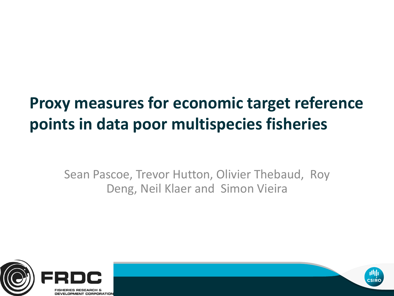#### **Proxy measures for economic target reference points in data poor multispecies fisheries**

Sean Pascoe, Trevor Hutton, Olivier Thebaud, Roy Deng, Neil Klaer and Simon Vieira





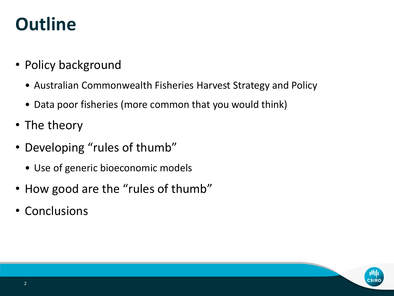## **Outline**

- Policy background
	- Australian Commonwealth Fisheries Harvest Strategy and Policy
	- Data poor fisheries (more common that you would think)
- The theory
- Developing "rules of thumb"
	- Use of generic bioeconomic models
- How good are the "rules of thumb"
- Conclusions

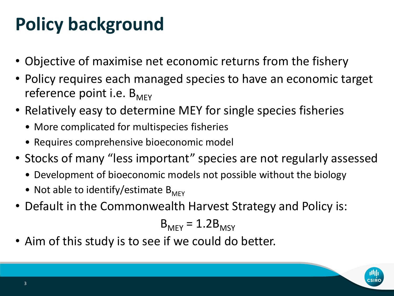## **Policy background**

- Objective of maximise net economic returns from the fishery
- Policy requires each managed species to have an economic target reference point i.e.  $B_{MFC}$
- Relatively easy to determine MEY for single species fisheries
	- More complicated for multispecies fisheries
	- Requires comprehensive bioeconomic model
- Stocks of many "less important" species are not regularly assessed
	- Development of bioeconomic models not possible without the biology
	- Not able to identify/estimate  $B_{M FY}$
- Default in the Commonwealth Harvest Strategy and Policy is:

$$
B_{M EY} = 1.2 B_{M SY}
$$

• Aim of this study is to see if we could do better.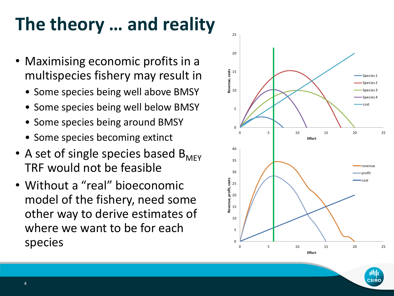# **The theory … and reality**

- Maximising economic profits in a multispecies fishery may result in
	- Some species being well above BMSY
	- Some species being well below BMSY
	- Some species being around BMSY
	- Some species becoming extinct
- A set of single species based  $B_{M FY}$ TRF would not be feasible
- Without a "real" bioeconomic model of the fishery, need some other way to derive estimates of where we want to be for each species

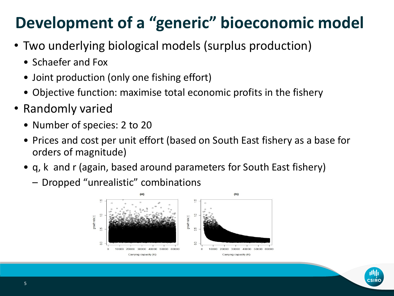#### **Development of a "generic" bioeconomic model**

- Two underlying biological models (surplus production)
	- Schaefer and Fox
	- Joint production (only one fishing effort)
	- Objective function: maximise total economic profits in the fishery
- Randomly varied
	- Number of species: 2 to 20
	- Prices and cost per unit effort (based on South East fishery as a base for orders of magnitude)
	- q, k and r (again, based around parameters for South East fishery)
		- Dropped "unrealistic" combinations



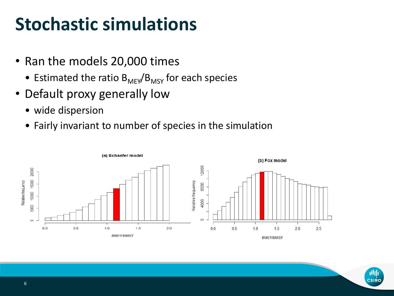### **Stochastic simulations**

- Ran the models 20,000 times
	- Estimated the ratio  $B_{M E Y}/B_{M S Y}$  for each species
- Default proxy generally low
	- wide dispersion
	- Fairly invariant to number of species in the simulation



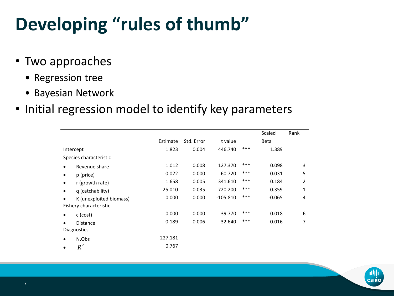# **Developing "rules of thumb"**

- Two approaches
	- Regression tree
	- Bayesian Network
- Initial regression model to identify key parameters

|                        |                         |           |            |            |     | Scaled      | Rank |
|------------------------|-------------------------|-----------|------------|------------|-----|-------------|------|
|                        |                         | Estimate  | Std. Error | t value    |     | <b>Beta</b> |      |
| Intercept              |                         | 1.823     | 0.004      | 446.740    | *** | 1.389       |      |
| Species characteristic |                         |           |            |            |     |             |      |
|                        | Revenue share           | 1.012     | 0.008      | 127.370    | *** | 0.098       | 3    |
|                        | p (price)               | $-0.022$  | 0.000      | $-60.720$  | *** | $-0.031$    | 5    |
|                        | r (growth rate)         | 1.658     | 0.005      | 341.610    | *** | 0.184       | 2    |
| ٠                      | g (catchability)        | $-25.010$ | 0.035      | $-720.200$ | *** | $-0.359$    | 1    |
|                        | K (unexploited biomass) | 0.000     | 0.000      | $-105.810$ | *** | $-0.065$    | 4    |
| Fishery characteristic |                         |           |            |            |     |             |      |
|                        | c (cost)                | 0.000     | 0.000      | 39.770     | *** | 0.018       | 6    |
|                        | <b>Distance</b>         | $-0.189$  | 0.006      | $-32.640$  | *** | $-0.016$    | 7    |
| <b>Diagnostics</b>     |                         |           |            |            |     |             |      |
| ٠                      | N.Obs                   | 227,181   |            |            |     |             |      |
|                        | $\bar{R}^2$             | 0.767     |            |            |     |             |      |

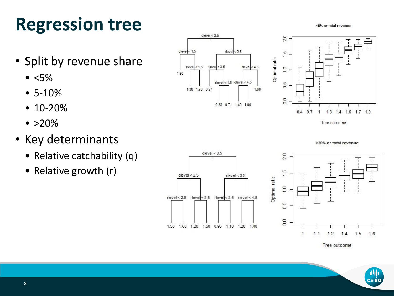## **Regression tree**

- Split by revenue share
	- $\bullet$  <5%
	- 5-10%
	- 10-20%
	- $\bullet$  >20%
- Key determinants
	- Relative catchability (q)
	- Relative growth (r)

 $glevel < 3.5$ ıο,  $gleve| < 2.5$  $r$ level  $< 3.5$ ≓ Optimal ratio  $\frac{0}{1}$ rlevel < 2.5 rlevel < 2.5 rlevel < 2.5 rlevel < 4.5  $\overline{0}$  $\overline{0}$ . 1.50 1.60 1.20 1.50 0.96 1.10 1.20 1.40

 $glevel < 2.5$ 

 $rlevel < 1.5$  qlevel < 3.5

1.30 1.70 0.97

 $rlevel < 2.5$ 

 $rlevel < 1.5$  glevel < 4.5

0.38 0.71 1.40 1.00

 $rlevel < 4.5$ 

1.60

 $q$ level < 1.5

1.90

Optimal ratio 0.5  $\overline{0}$ 0.4 0.7 1 1.3 1.4 1.6 1.7 1.9 Tree outcome >20% or total revenue 2.0

Tree outcome

 $1.4$ 

1.5



<5% or total revenue



 $2.0$ 

 $\ddot{5}$ 

 $1.0$ 



1.6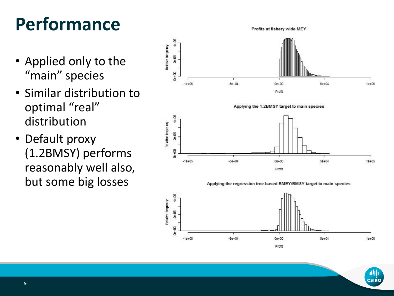# **Performance**

- Applied only to the "main" species
- Similar distribution to optimal "real" distribution
- Default proxy (1.2BMSY) performs reasonably well also, but some big losses

48-05 Relative frequency 28-DS  $\mathbf{B}$ +00  $-1e+05$  $-5e + 04$  $5e + 04$  $0e + 00$  $1e + 05$ Profit Applying the 1.2BMSY target to main species  $40 - 15$ Relative frequency 28-DS De+00  $-1e + 05$  $-5e+04$  $0e + 00$  $5e + 04$  $1e + 05$ Profit Applying the regression tree-based BMEY/BMSY target to main species 48-05 Relative freque rcy  $28-45$ 00+00  $-1e+05$  $-5e + 04$  $0e + 00$  $5e + 04$  $1e + 05$ 

Profit

Profits at fishery wide MEY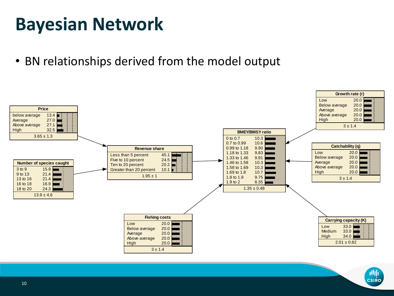## **Bayesian Network**

• BN relationships derived from the model output



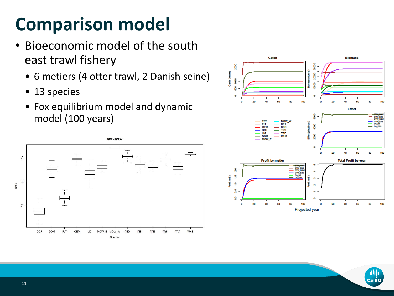## **Comparison model**

- Bioeconomic model of the south east trawl fishery
	- 6 metiers (4 otter trawl, 2 Danish seine)
	- 13 species
	- Fox equilibrium model and dynamic model (100 years)



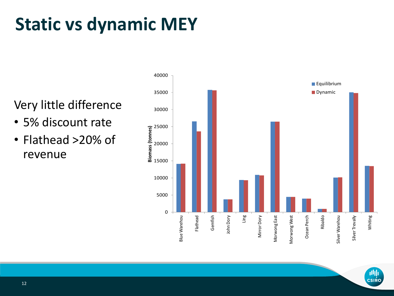# **Static vs dynamic MEY**

#### Very little difference

- 5% discount rate
- Flathead >20% of revenue



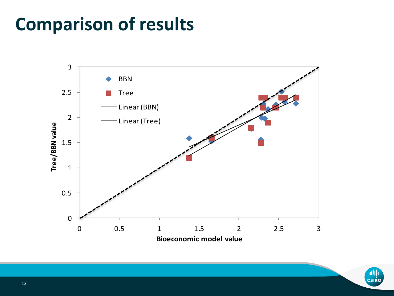## **Comparison of results**



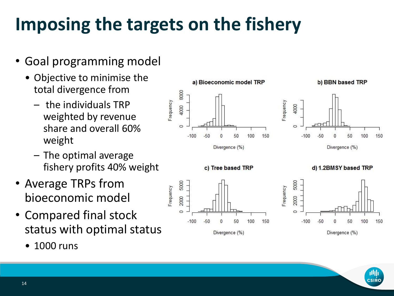## **Imposing the targets on the fishery**

 $-50$ 

 $-100$ 

50

Divergence (%)

100

150

- Goal programming model
	- Objective to minimise the total divergence from
		- the individuals TRP weighted by revenue share and overall 60% weight
		- The optimal average fishery profits 40% weight
- Average TRPs from bioeconomic model
- Compared final stock status with optimal status
	- 1000 runs



O

 $-100$ 

50

Divergence (%)

100

150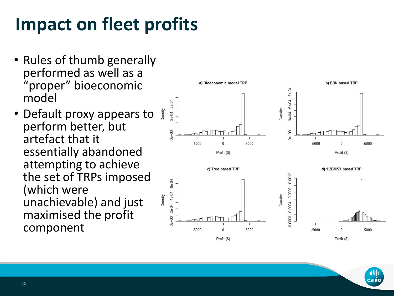## **Impact on fleet profits**

- Rules of thumb generally performed as well as a "proper" bioeconomic model
- Default proxy appears to perform better, but artefact that it essentially abandoned attempting to achieve the set of TRPs imposed (which were unachievable) and just maximised the profit component